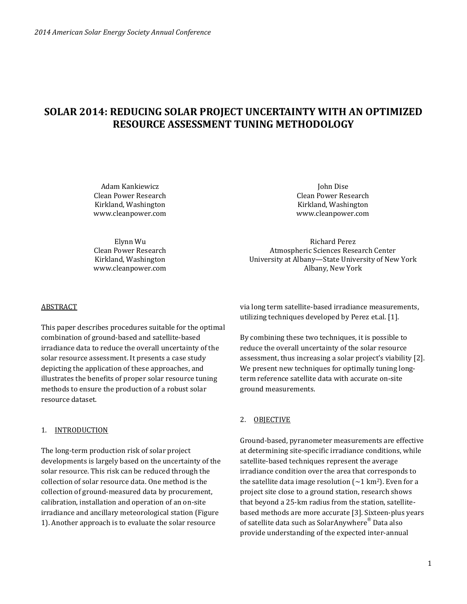# **SOLAR 2014: REDUCING SOLAR PROJECT UNCERTAINTY WITH AN OPTIMIZED RESOURCE ASSESSMENT TUNING METHODOLOGY**

Adam Kankiewicz Clean Power Research Kirkland, Washington www.cleanpower.com

John Dise Clean Power Research Kirkland, Washington www.cleanpower.com

Elynn Wu Clean Power Research Kirkland, Washington www.cleanpower.com

Richard Perez Atmospheric Sciences Research Center University at Albany—State University of New York Albany, New York

### **ABSTRACT**

This paper describes procedures suitable for the optimal combination of ground-based and satellite-based irradiance data to reduce the overall uncertainty of the solar resource assessment. It presents a case study depicting the application of these approaches, and illustrates the benefits of proper solar resource tuning methods to ensure the production of a robust solar resource dataset.

#### 1. INTRODUCTION

The long-term production risk of solar project developments is largely based on the uncertainty of the solar resource. This risk can be reduced through the collection of solar resource data. One method is the collection of ground-measured data by procurement, calibration, installation and operation of an on-site irradiance and ancillary meteorological station (Figure 1). Another approach is to evaluate the solar resource

via long term satellite-based irradiance measurements, utilizing techniques developed by Perez et.al. [1].

By combining these two techniques, it is possible to reduce the overall uncertainty of the solar resource assessment, thus increasing a solar project's viability [2]. We present new techniques for optimally tuning longterm reference satellite data with accurate on-site ground measurements.

## 2. OBJECTIVE

Ground-based, pyranometer measurements are effective at determining site-specific irradiance conditions, while satellite-based techniques represent the average irradiance condition over the area that corresponds to the satellite data image resolution ( $\sim$ 1 km<sup>2</sup>). Even for a project site close to a ground station, research shows that beyond a 25-km radius from the station, satellitebased methods are more accurate [3]. Sixteen-plus years of satellite data such as SolarAnywhere® Data also provide understanding of the expected inter-annual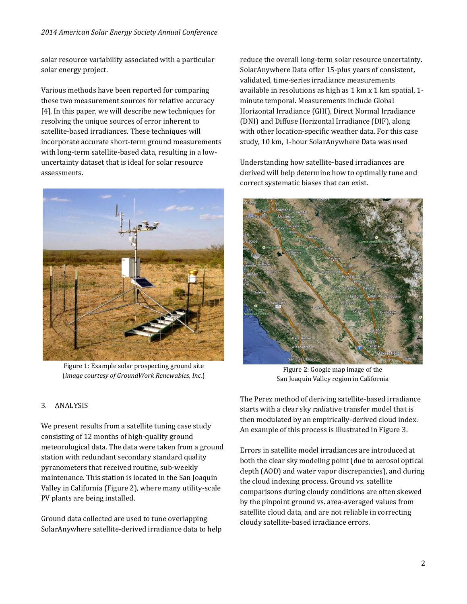solar resource variability associated with a particular solar energy project.

Various methods have been reported for comparing these two measurement sources for relative accuracy [4]. In this paper, we will describe new techniques for resolving the unique sources of error inherent to satellite-based irradiances. These techniques will incorporate accurate short-term ground measurements with long-term satellite-based data, resulting in a lowuncertainty dataset that is ideal for solar resource assessments.



Figure 1: Example solar prospecting ground site (*image courtesy of GroundWork Renewables, Inc.*)

reduce the overall long-term solar resource uncertainty. SolarAnywhere Data offer 15-plus years of consistent, validated, time-series irradiance measurements available in resolutions as high as 1 km x 1 km spatial, 1 minute temporal. Measurements include Global Horizontal Irradiance (GHI), Direct Normal Irradiance (DNI) and Diffuse Horizontal Irradiance (DIF), along with other location-specific weather data. For this case study, 10 km, 1-hour SolarAnywhere Data was used

Understanding how satellite-based irradiances are derived will help determine how to optimally tune and correct systematic biases that can exist.



Figure 2: Google map image of the San Joaquin Valley region in California

The Perez method of deriving satellite-based irradiance starts with a clear sky radiative transfer model that is then modulated by an empirically-derived cloud index. An example of this process is illustrated in Figure 3.

Errors in satellite model irradiances are introduced at both the clear sky modeling point (due to aerosol optical depth (AOD) and water vapor discrepancies), and during the cloud indexing process. Ground vs. satellite comparisons during cloudy conditions are often skewed by the pinpoint ground vs. area‐averaged values from satellite cloud data, and are not reliable in correcting cloudy satellite-based irradiance errors.

## 3. ANALYSIS

We present results from a satellite tuning case study consisting of 12 months of high-quality ground meteorological data. The data were taken from a ground station with redundant secondary standard quality pyranometers that received routine, sub-weekly maintenance. This station is located in the San Joaquin Valley in California (Figure 2), where many utility-scale PV plants are being installed.

Ground data collected are used to tune overlapping SolarAnywhere satellite-derived irradiance data to help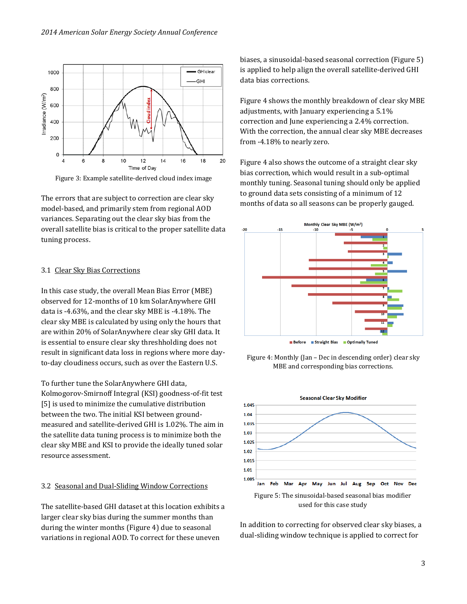

Figure 3: Example satellite-derived cloud index image

The errors that are subject to correction are clear sky model-based, and primarily stem from regional AOD variances. Separating out the clear sky bias from the overall satellite bias is critical to the proper satellite data tuning process.

#### 3.1 Clear Sky Bias Corrections

In this case study, the overall Mean Bias Error (MBE) observed for 12-months of 10 km SolarAnywhere GHI data is -4.63%, and the clear sky MBE is -4.18%. The clear sky MBE is calculated by using only the hours that are within 20% of SolarAnywhere clear sky GHI data. It is essential to ensure clear sky threshholding does not result in significant data loss in regions where more dayto-day cloudiness occurs, such as over the Eastern U.S.

To further tune the SolarAnywhere GHI data, Kolmogorov-Smirnoff Integral (KSI) goodness-of-fit test [5] is used to minimize the cumulative distribution between the two. The initial KSI between groundmeasured and satellite-derived GHI is 1.02%. The aim in the satellite data tuning process is to minimize both the clear sky MBE and KSI to provide the ideally tuned solar resource assessment.

### 3.2 Seasonal and Dual-Sliding Window Corrections

The satellite-based GHI dataset at this location exhibits a larger clear sky bias during the summer months than during the winter months (Figure 4) due to seasonal variations in regional AOD. To correct for these uneven

biases, a sinusoidal-based seasonal correction (Figure 5) is applied to help align the overall satellite-derived GHI data bias corrections.

Figure 4 shows the monthly breakdown of clear sky MBE adjustments, with January experiencing a 5.1% correction and June experiencing a 2.4% correction. With the correction, the annual clear sky MBE decreases from -4.18% to nearly zero.

Figure 4 also shows the outcome of a straight clear sky bias correction, which would result in a sub-optimal monthly tuning. Seasonal tuning should only be applied to ground data sets consisting of a minimum of 12 months of data so all seasons can be properly gauged.







In addition to correcting for observed clear sky biases, a dual-sliding window technique is applied to correct for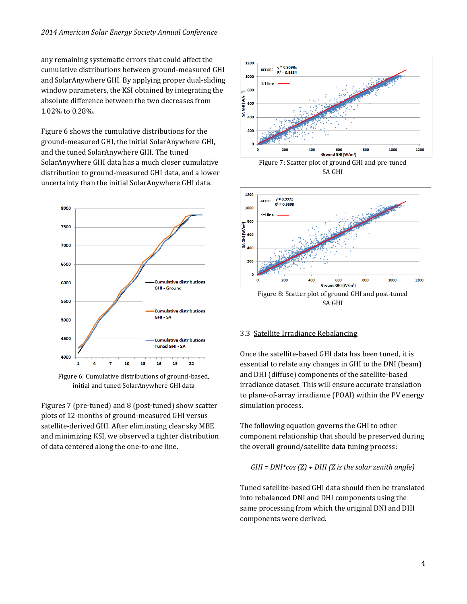any remaining systematic errors that could affect the cumulative distributions between ground-measured GHI and SolarAnywhere GHI. By applying proper dual-sliding window parameters, the KSI obtained by integrating the absolute difference between the two decreases from 1.02% to 0.28%.

Figure 6 shows the cumulative distributions for the ground-measured GHI, the initial SolarAnywhere GHI, and the tuned SolarAnywhere GHI. The tuned SolarAnywhere GHI data has a much closer cumulative distribution to ground-measured GHI data, and a lower uncertainty than the initial SolarAnywhere GHI data.



Figure 6: Cumulative distributions of ground-based, initial and tuned SolarAnywhere GHI data

Figures 7 (pre-tuned) and 8 (post-tuned) show scatter plots of 12-months of ground-measured GHI versus satellite-derived GHI. After eliminating clear sky MBE and minimizing KSI, we observed a tighter distribution of data centered along the one-to-one line.



Figure 7: Scatter plot of ground GHI and pre-tuned SA GHI



SA GHI

## 3.3 Satellite Irradiance Rebalancing

Once the satellite-based GHI data has been tuned, it is essential to relate any changes in GHI to the DNI (beam) and DHI (diffuse) components of the satellite-based irradiance dataset. This will ensure accurate translation to plane-of-array irradiance (POAI) within the PV energy simulation process.

The following equation governs the GHI to other component relationship that should be preserved during the overall ground/satellite data tuning process:

$$
GHI = DNI * cos(Z) + DHI(Z is the solar zenith angle)
$$

Tuned satellite-based GHI data should then be translated into rebalanced DNI and DHI components using the same processing from which the original DNI and DHI components were derived.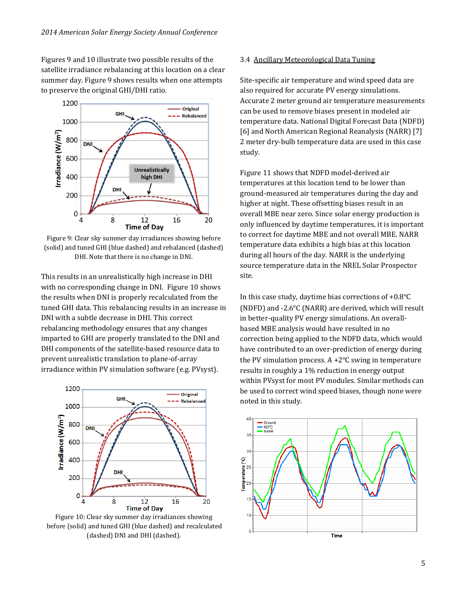Figures 9 and 10 illustrate two possible results of the satellite irradiance rebalancing at this location on a clear summer day. Figure 9 shows results when one attempts to preserve the original GHI/DHI ratio.



Figure 9: Clear sky summer day irradiances showing before (solid) and tuned GHI (blue dashed) and rebalanced (dashed) DHI. Note that there is no change in DNI.

This results in an unrealistically high increase in DHI with no corresponding change in DNI. Figure 10 shows the results when DNI is properly recalculated from the tuned GHI data. This rebalancing results in an increase in DNI with a subtle decrease in DHI. This correct rebalancing methodology ensures that any changes imparted to GHI are properly translated to the DNI and DHI components of the satellite-based resource data to prevent unrealistic translation to plane-of-array irradiance within PV simulation software (e.g. PVsyst).



Figure 10: Clear sky summer day irradiances showing before (solid) and tuned GHI (blue dashed) and recalculated (dashed) DNI and DHI (dashed).

## 3.4 Ancillary Meteorological Data Tuning

Site-specific air temperature and wind speed data are also required for accurate PV energy simulations. Accurate 2 meter ground air temperature measurements can be used to remove biases present in modeled air temperature data. National Digital Forecast Data (NDFD) [6] and North American Regional Reanalysis (NARR) [7] 2 meter dry-bulb temperature data are used in this case study.

Figure 11 shows that NDFD model-derived air temperatures at this location tend to be lower than ground-measured air temperatures during the day and higher at night. These offsetting biases result in an overall MBE near zero. Since solar energy production is only influenced by daytime temperatures, it is important to correct for daytime MBE and not overall MBE. NARR temperature data exhibits a high bias at this location during all hours of the day. NARR is the underlying source temperature data in the NREL Solar Prospector site.

In this case study, daytime bias corrections of  $+0.8$ <sup>o</sup>C (NDFD) and  $-2.6$ °C (NARR) are derived, which will result in better-quality PV energy simulations. An overallbased MBE analysis would have resulted in no correction being applied to the NDFD data, which would have contributed to an over-prediction of energy during the PV simulation process.  $A + 2^{\circ}C$  swing in temperature results in roughly a 1% reduction in energy output within PVsyst for most PV modules. Similar methods can be used to correct wind speed biases, though none were noted in this study.